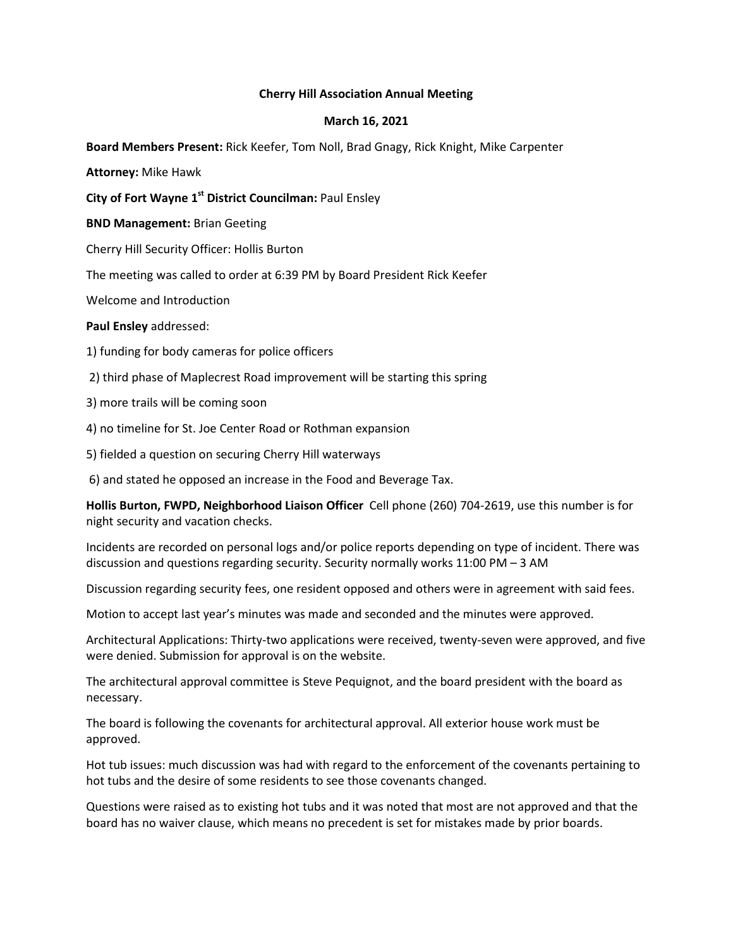## **Cherry Hill Association Annual Meeting**

## **March 16, 2021**

**Board Members Present:** Rick Keefer, Tom Noll, Brad Gnagy, Rick Knight, Mike Carpenter

**Attorney:** Mike Hawk

**City of Fort Wayne 1st District Councilman:** Paul Ensley

**BND Management:** Brian Geeting

Cherry Hill Security Officer: Hollis Burton

The meeting was called to order at 6:39 PM by Board President Rick Keefer

Welcome and Introduction

**Paul Ensley** addressed:

- 1) funding for body cameras for police officers
- 2) third phase of Maplecrest Road improvement will be starting this spring
- 3) more trails will be coming soon
- 4) no timeline for St. Joe Center Road or Rothman expansion
- 5) fielded a question on securing Cherry Hill waterways

6) and stated he opposed an increase in the Food and Beverage Tax.

**Hollis Burton, FWPD, Neighborhood Liaison Officer** Cell phone (260) 704-2619, use this number is for night security and vacation checks.

Incidents are recorded on personal logs and/or police reports depending on type of incident. There was discussion and questions regarding security. Security normally works 11:00 PM – 3 AM

Discussion regarding security fees, one resident opposed and others were in agreement with said fees.

Motion to accept last year's minutes was made and seconded and the minutes were approved.

Architectural Applications: Thirty-two applications were received, twenty-seven were approved, and five were denied. Submission for approval is on the website.

The architectural approval committee is Steve Pequignot, and the board president with the board as necessary.

The board is following the covenants for architectural approval. All exterior house work must be approved.

Hot tub issues: much discussion was had with regard to the enforcement of the covenants pertaining to hot tubs and the desire of some residents to see those covenants changed.

Questions were raised as to existing hot tubs and it was noted that most are not approved and that the board has no waiver clause, which means no precedent is set for mistakes made by prior boards.